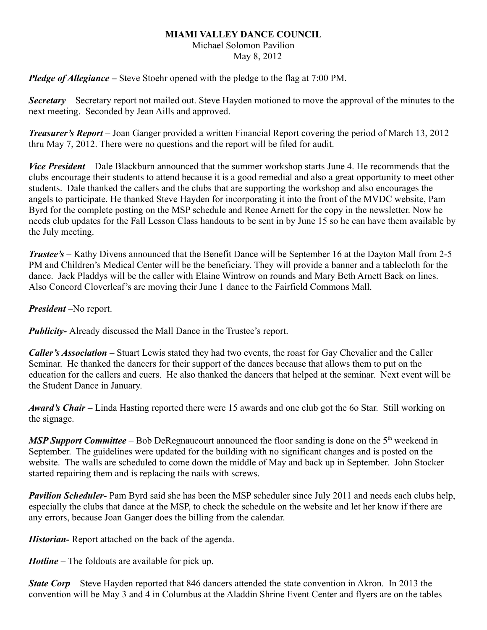## **MIAMI VALLEY DANCE COUNCIL**

## Michael Solomon Pavilion

May 8, 2012

*Pledge of Allegiance –* Steve Stoehr opened with the pledge to the flag at 7:00 PM.

*Secretary –* Secretary report not mailed out. Steve Hayden motioned to move the approval of the minutes to the next meeting. Seconded by Jean Aills and approved.

*Treasurer's Report* – Joan Ganger provided a written Financial Report covering the period of March 13, 2012 thru May 7, 2012. There were no questions and the report will be filed for audit.

*Vice President* – Dale Blackburn announced that the summer workshop starts June 4. He recommends that the clubs encourage their students to attend because it is a good remedial and also a great opportunity to meet other students. Dale thanked the callers and the clubs that are supporting the workshop and also encourages the angels to participate. He thanked Steve Hayden for incorporating it into the front of the MVDC website, Pam Byrd for the complete posting on the MSP schedule and Renee Arnett for the copy in the newsletter. Now he needs club updates for the Fall Lesson Class handouts to be sent in by June 15 so he can have them available by the July meeting.

*Trustee's* – Kathy Divens announced that the Benefit Dance will be September 16 at the Dayton Mall from 2-5 PM and Children's Medical Center will be the beneficiary. They will provide a banner and a tablecloth for the dance. Jack Pladdys will be the caller with Elaine Wintrow on rounds and Mary Beth Arnett Back on lines. Also Concord Cloverleaf's are moving their June 1 dance to the Fairfield Commons Mall.

*President* –No report.

*Publicity*- Already discussed the Mall Dance in the Trustee's report.

*Caller's Association* – Stuart Lewis stated they had two events, the roast for Gay Chevalier and the Caller Seminar. He thanked the dancers for their support of the dances because that allows them to put on the education for the callers and cuers. He also thanked the dancers that helped at the seminar. Next event will be the Student Dance in January.

*Award's Chair* – Linda Hasting reported there were 15 awards and one club got the 6o Star. Still working on the signage.

*MSP Support Committee* – Bob DeRegnaucourt announced the floor sanding is done on the 5<sup>th</sup> weekend in September. The guidelines were updated for the building with no significant changes and is posted on the website. The walls are scheduled to come down the middle of May and back up in September. John Stocker started repairing them and is replacing the nails with screws.

*Pavilion Scheduler-* Pam Byrd said she has been the MSP scheduler since July 2011 and needs each clubs help, especially the clubs that dance at the MSP, to check the schedule on the website and let her know if there are any errors, because Joan Ganger does the billing from the calendar.

*Historian-* Report attached on the back of the agenda.

*Hotline* – The foldouts are available for pick up.

*State Corp* – Steve Hayden reported that 846 dancers attended the state convention in Akron. In 2013 the convention will be May 3 and 4 in Columbus at the Aladdin Shrine Event Center and flyers are on the tables